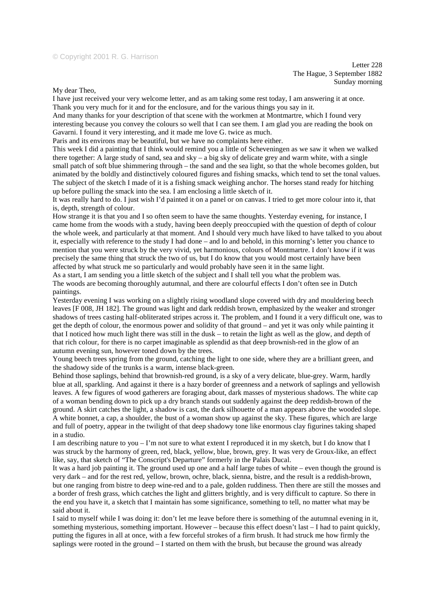My dear Theo,

I have just received your very welcome letter, and as am taking some rest today, I am answering it at once. Thank you very much for it and for the enclosure, and for the various things you say in it.

And many thanks for your description of that scene with the workmen at Montmartre, which I found very interesting because you convey the colours so well that I can see them. I am glad you are reading the book on Gavarni. I found it very interesting, and it made me love G. twice as much.

Paris and its environs may be beautiful, but we have no complaints here either.

This week I did a painting that I think would remind you a little of Scheveningen as we saw it when we walked there together: A large study of sand, sea and sky – a big sky of delicate grey and warm white, with a single small patch of soft blue shimmering through – the sand and the sea light, so that the whole becomes golden, but animated by the boldly and distinctively coloured figures and fishing smacks, which tend to set the tonal values. The subject of the sketch I made of it is a fishing smack weighing anchor. The horses stand ready for hitching up before pulling the smack into the sea. I am enclosing a little sketch of it.

It was really hard to do. I just wish I'd painted it on a panel or on canvas. I tried to get more colour into it, that is, depth, strength of colour.

How strange it is that you and I so often seem to have the same thoughts. Yesterday evening, for instance, I came home from the woods with a study, having been deeply preoccupied with the question of depth of colour the whole week, and particularly at that moment. And I should very much have liked to have talked to you about it, especially with reference to the study I had done – and lo and behold, in this morning's letter you chance to mention that you were struck by the very vivid, yet harmonious, colours of Montmartre. I don't know if it was precisely the same thing that struck the two of us, but I do know that you would most certainly have been affected by what struck me so particularly and would probably have seen it in the same light.

As a start, I am sending you a little sketch of the subject and I shall tell you what the problem was. The woods are becoming thoroughly autumnal, and there are colourful effects I don't often see in Dutch paintings.

Yesterday evening I was working on a slightly rising woodland slope covered with dry and mouldering beech leaves [F 008, JH 182]. The ground was light and dark reddish brown, emphasized by the weaker and stronger shadows of trees casting half-obliterated stripes across it. The problem, and I found it a very difficult one, was to get the depth of colour, the enormous power and solidity of that ground – and yet it was only while painting it that I noticed how much light there was still in the dusk – to retain the light as well as the glow, and depth of that rich colour, for there is no carpet imaginable as splendid as that deep brownish-red in the glow of an autumn evening sun, however toned down by the trees.

Young beech trees spring from the ground, catching the light to one side, where they are a brilliant green, and the shadowy side of the trunks is a warm, intense black-green.

Behind those saplings, behind that brownish-red ground, is a sky of a very delicate, blue-grey. Warm, hardly blue at all, sparkling. And against it there is a hazy border of greenness and a network of saplings and yellowish leaves. A few figures of wood gatherers are foraging about, dark masses of mysterious shadows. The white cap of a woman bending down to pick up a dry branch stands out suddenly against the deep reddish-brown of the ground. A skirt catches the light, a shadow is cast, the dark silhouette of a man appears above the wooded slope. A white bonnet, a cap, a shoulder, the bust of a woman show up against the sky. These figures, which are large and full of poetry, appear in the twilight of that deep shadowy tone like enormous clay figurines taking shaped in a studio.

I am describing nature to you – I'm not sure to what extent I reproduced it in my sketch, but I do know that I was struck by the harmony of green, red, black, yellow, blue, brown, grey. It was very de Groux-like, an effect like, say, that sketch of "The Conscript's Departure" formerly in the Palais Ducal.

It was a hard job painting it. The ground used up one and a half large tubes of white – even though the ground is very dark – and for the rest red, yellow, brown, ochre, black, sienna, bistre, and the result is a reddish-brown, but one ranging from bistre to deep wine-red and to a pale, golden ruddiness. Then there are still the mosses and a border of fresh grass, which catches the light and glitters brightly, and is very difficult to capture. So there in the end you have it, a sketch that I maintain has some significance, something to tell, no matter what may be said about it.

I said to myself while I was doing it: don't let me leave before there is something of the autumnal evening in it, something mysterious, something important. However – because this effect doesn't last – I had to paint quickly, putting the figures in all at once, with a few forceful strokes of a firm brush. It had struck me how firmly the saplings were rooted in the ground – I started on them with the brush, but because the ground was already